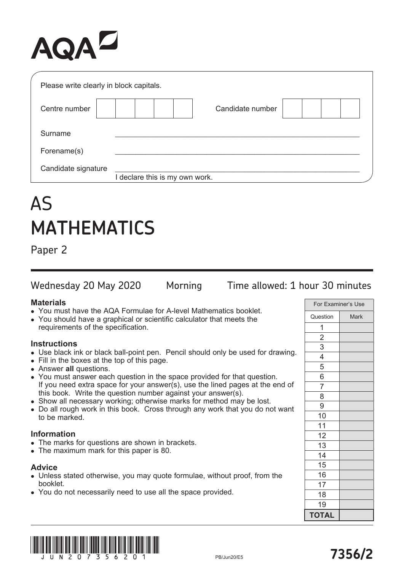# AQAZ

| Please write clearly in block capitals. |                                |  |
|-----------------------------------------|--------------------------------|--|
| Centre number                           | Candidate number               |  |
| Surname                                 |                                |  |
| Forename(s)                             |                                |  |
| Candidate signature                     | I declare this is my own work. |  |

# AS **MATHEMATICS**

Paper 2

Wednesday 20 May 2020 Morning Time allowed: 1 hour 30 minutes

### **Materials**

- You must have the AQA Formulae for A-level Mathematics booklet.
- You should have a graphical or scientific calculator that meets the requirements of the specification.

# **Instructions**

- Use black ink or black ball-point pen. Pencil should only be used for drawing.
- Fill in the boxes at the top of this page.
- **.** Answer all questions.
- You must answer each question in the space provided for that question. If you need extra space for your answer(s), use the lined pages at the end of this book. Write the question number against your answer(s).
- Show all necessary working; otherwise marks for method may be lost.
- Do all rough work in this book. Cross through any work that you do not want to be marked.

### **Information**

- The marks for questions are shown in brackets.
- The maximum mark for this paper is 80.

### **Advice**

- Unless stated otherwise, you may quote formulae, without proof, from the booklet.
- You do not necessarily need to use all the space provided.

| For Examiner's Use |             |
|--------------------|-------------|
| Question           | <b>Mark</b> |
| 1                  |             |
| $\overline{2}$     |             |
|                    |             |
| $\frac{3}{4}$      |             |
|                    |             |
| 6                  |             |
| $\overline{7}$     |             |
| 8                  |             |
| 9                  |             |
| 10                 |             |
| 11                 |             |
| 12                 |             |
| 13                 |             |
| 14                 |             |
| 15                 |             |
| 16                 |             |
| 17                 |             |
| 18                 |             |
| 19                 |             |
| <b>TOTAL</b>       |             |

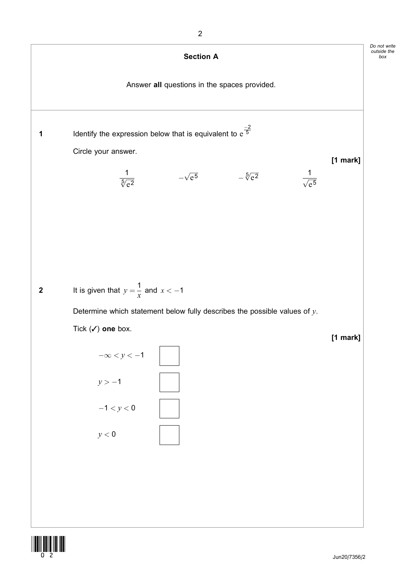

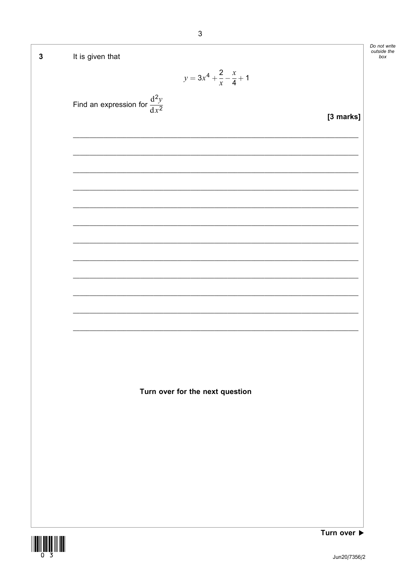| $\mathbf{3}$ | It is given that                                        | Do not write<br>outside the<br>box |
|--------------|---------------------------------------------------------|------------------------------------|
|              | $y = 3x^4 + \frac{2}{x} - \frac{x}{4} + 1$              |                                    |
|              | Find an expression for $\frac{d^2y}{dx^2}$<br>[3 marks] |                                    |
|              |                                                         |                                    |
|              |                                                         |                                    |
|              |                                                         |                                    |
|              |                                                         |                                    |
|              |                                                         |                                    |
|              |                                                         |                                    |
|              |                                                         |                                    |
|              |                                                         |                                    |
|              |                                                         |                                    |
|              |                                                         |                                    |
|              |                                                         |                                    |
|              | Turn over for the next question                         |                                    |
|              |                                                         |                                    |
|              |                                                         |                                    |
|              |                                                         |                                    |
|              |                                                         |                                    |
|              |                                                         |                                    |
|              |                                                         |                                    |
|              | Turn over $\blacktriangleright$                         |                                    |

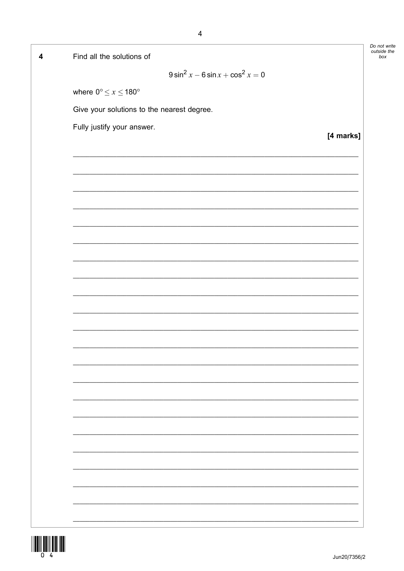| Find all the solutions of                                                                                             |           |
|-----------------------------------------------------------------------------------------------------------------------|-----------|
| $9 \sin^2 x - 6 \sin x + \cos^2 x = 0$                                                                                |           |
| where $0^{\circ} \leq x \leq 180^{\circ}$                                                                             |           |
| Give your solutions to the nearest degree.                                                                            |           |
| Fully justify your answer.                                                                                            |           |
|                                                                                                                       | [4 marks] |
|                                                                                                                       |           |
|                                                                                                                       |           |
|                                                                                                                       |           |
|                                                                                                                       |           |
|                                                                                                                       |           |
|                                                                                                                       |           |
|                                                                                                                       |           |
| <u> 1989 - Johann Stoff, deutscher Stoff, der Stoff, der Stoff, der Stoff, der Stoff, der Stoff, der Stoff, der S</u> |           |
|                                                                                                                       |           |
|                                                                                                                       |           |
|                                                                                                                       |           |
|                                                                                                                       |           |
| <u> 1989 - Johann Stoff, amerikansk politiker (d. 1989)</u>                                                           |           |
|                                                                                                                       |           |
|                                                                                                                       |           |
|                                                                                                                       |           |
|                                                                                                                       |           |
|                                                                                                                       |           |
|                                                                                                                       |           |
|                                                                                                                       |           |
|                                                                                                                       |           |



 $\overline{\mathbf{4}}$ 

 $\overline{4}$ 

Jun20/7356/2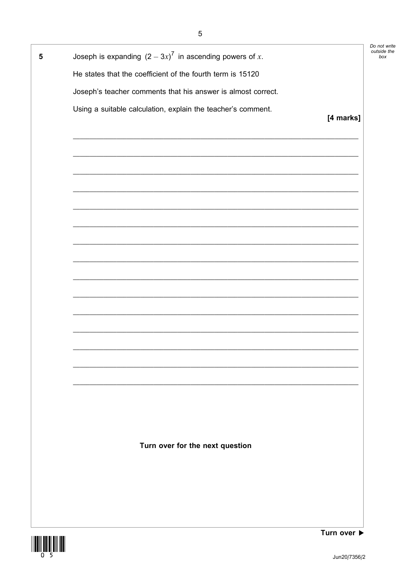| Joseph is expanding $(2-3x)^7$ in ascending powers of x.     |           |
|--------------------------------------------------------------|-----------|
| He states that the coefficient of the fourth term is 15120   |           |
| Joseph's teacher comments that his answer is almost correct. |           |
| Using a suitable calculation, explain the teacher's comment. |           |
|                                                              | [4 marks] |
|                                                              |           |
|                                                              |           |
|                                                              |           |
|                                                              |           |
|                                                              |           |
|                                                              |           |
|                                                              |           |
|                                                              |           |
|                                                              |           |
|                                                              |           |
|                                                              |           |
|                                                              |           |
|                                                              |           |
|                                                              |           |
|                                                              |           |
|                                                              |           |
|                                                              |           |
|                                                              |           |
| Turn over for the next question                              |           |
|                                                              |           |
|                                                              |           |
|                                                              |           |
|                                                              |           |

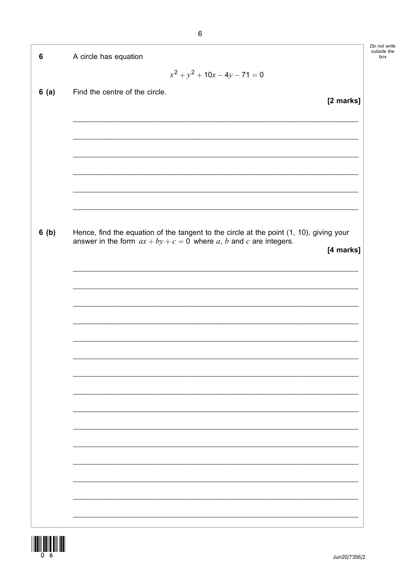| $6\phantom{1}6$ | A circle has equation                                                                                                                                          |
|-----------------|----------------------------------------------------------------------------------------------------------------------------------------------------------------|
|                 | $x^{2} + y^{2} + 10x - 4y - 71 = 0$                                                                                                                            |
| 6(a)            | Find the centre of the circle.                                                                                                                                 |
|                 | [2 marks]                                                                                                                                                      |
|                 |                                                                                                                                                                |
|                 |                                                                                                                                                                |
|                 |                                                                                                                                                                |
|                 |                                                                                                                                                                |
|                 |                                                                                                                                                                |
|                 |                                                                                                                                                                |
| 6(b)            | Hence, find the equation of the tangent to the circle at the point (1, 10), giving your<br>answer in the form $ax + by + c = 0$ where a, b and c are integers. |
|                 | [4 marks]                                                                                                                                                      |
|                 |                                                                                                                                                                |
|                 |                                                                                                                                                                |
|                 |                                                                                                                                                                |
|                 |                                                                                                                                                                |
|                 |                                                                                                                                                                |
|                 |                                                                                                                                                                |
|                 |                                                                                                                                                                |
|                 |                                                                                                                                                                |
|                 |                                                                                                                                                                |
|                 |                                                                                                                                                                |
|                 |                                                                                                                                                                |
|                 |                                                                                                                                                                |
|                 |                                                                                                                                                                |
|                 |                                                                                                                                                                |
|                 |                                                                                                                                                                |

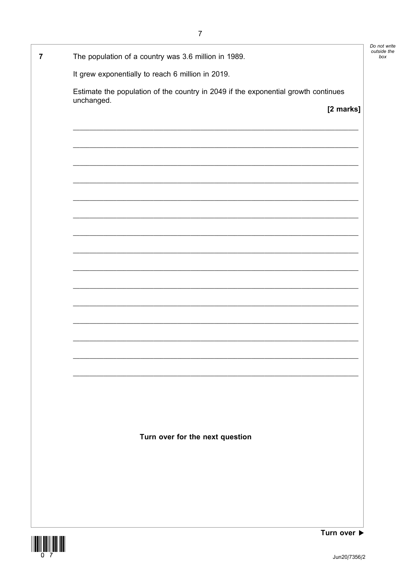$\overline{7}$ The population of a country was 3.6 million in 1989. It grew exponentially to reach 6 million in 2019. Estimate the population of the country in 2049 if the exponential growth continues unchanged. [2 marks] Turn over for the next question

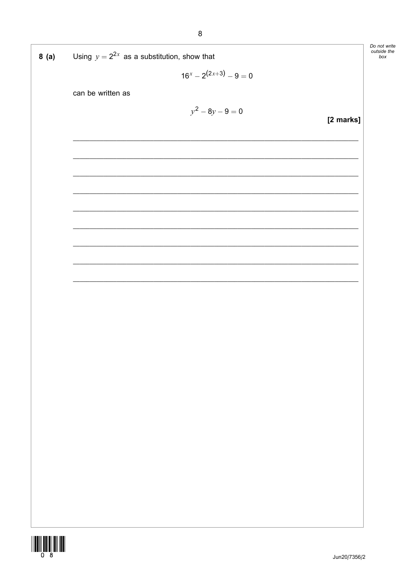| 8 (a) | Using $y = 2^{2x}$ as a substitution, show that | L<br>$\epsilon$ |
|-------|-------------------------------------------------|-----------------|
|       | $16^x - 2^{(2x+3)} - 9 = 0$                     |                 |
|       | can be written as                               |                 |
|       | $y^2 - 8y - 9 = 0$                              |                 |
|       | [2 marks]                                       |                 |
|       |                                                 |                 |
|       |                                                 |                 |
|       |                                                 |                 |
|       |                                                 |                 |
|       |                                                 |                 |
|       |                                                 |                 |
|       |                                                 |                 |
|       |                                                 |                 |
|       |                                                 |                 |
|       |                                                 |                 |
|       |                                                 |                 |
|       |                                                 |                 |
|       |                                                 |                 |
|       |                                                 |                 |
|       |                                                 |                 |
|       |                                                 |                 |
|       |                                                 |                 |
|       |                                                 |                 |
|       |                                                 |                 |
|       |                                                 |                 |
|       |                                                 |                 |
|       |                                                 |                 |
|       | Jun20/7356/2                                    |                 |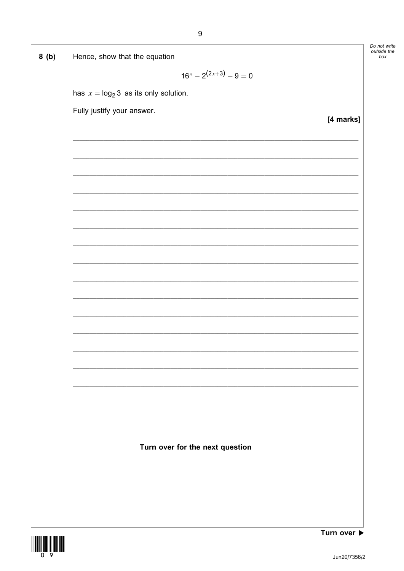| 8(b) | Hence, show that the equation            |           |
|------|------------------------------------------|-----------|
|      | $16^x - 2^{(2x+3)} - 9 = 0$              |           |
|      |                                          |           |
|      | has $x = \log_2 3$ as its only solution. |           |
|      | Fully justify your answer.               |           |
|      |                                          | [4 marks] |
|      |                                          |           |
|      |                                          |           |
|      |                                          |           |
|      |                                          |           |
|      |                                          |           |
|      |                                          |           |
|      |                                          |           |
|      |                                          |           |
|      |                                          |           |
|      |                                          |           |
|      |                                          |           |
|      |                                          |           |
|      |                                          |           |
|      |                                          |           |
|      |                                          |           |
|      |                                          |           |
|      |                                          |           |
|      |                                          |           |
|      |                                          |           |
|      |                                          |           |
|      |                                          |           |
|      |                                          |           |
|      |                                          |           |
|      |                                          |           |
|      |                                          |           |
|      | Turn over for the next question          |           |
|      |                                          |           |
|      |                                          |           |
|      |                                          |           |
|      |                                          |           |
|      |                                          |           |
|      |                                          |           |
|      |                                          | T         |

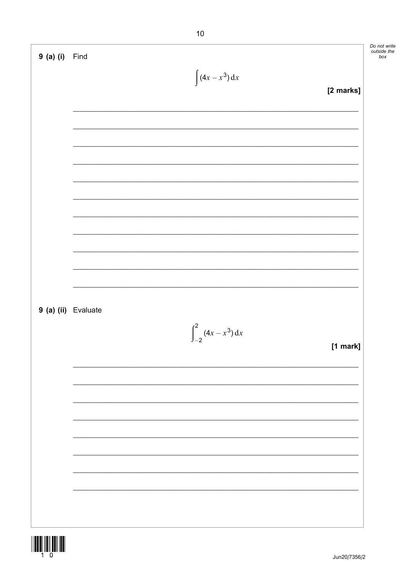| $9$ (a) (i)         | Find                              | Do not write<br>outside the<br>box |
|---------------------|-----------------------------------|------------------------------------|
|                     |                                   |                                    |
|                     | $\int (4x - x^3) dx$<br>[2 marks] |                                    |
|                     |                                   |                                    |
|                     |                                   |                                    |
|                     |                                   |                                    |
|                     |                                   |                                    |
|                     |                                   |                                    |
|                     |                                   |                                    |
|                     |                                   |                                    |
|                     |                                   |                                    |
|                     |                                   |                                    |
|                     |                                   |                                    |
|                     |                                   |                                    |
|                     |                                   |                                    |
| 9 (a) (ii) Evaluate |                                   |                                    |
|                     | $\int_{-2}^{2} (4x - x^3) dx$     |                                    |
|                     | $[1$ mark]                        |                                    |
|                     |                                   |                                    |
|                     |                                   |                                    |
|                     |                                   |                                    |
|                     |                                   |                                    |
|                     |                                   |                                    |
|                     |                                   |                                    |
|                     |                                   |                                    |
|                     |                                   |                                    |
|                     |                                   |                                    |
|                     |                                   |                                    |

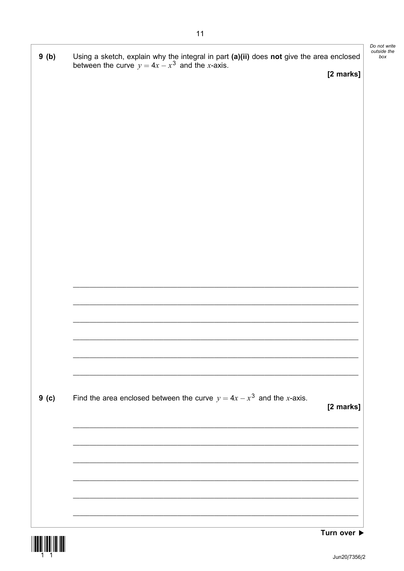| 9(b)  | Using a sketch, explain why the integral in part (a)(ii) does not give the area enclosed between the curve $y = 4x - x^3$ and the x-axis. |           |
|-------|-------------------------------------------------------------------------------------------------------------------------------------------|-----------|
|       |                                                                                                                                           | [2 marks] |
|       |                                                                                                                                           |           |
|       |                                                                                                                                           |           |
|       |                                                                                                                                           |           |
|       |                                                                                                                                           |           |
|       |                                                                                                                                           |           |
|       |                                                                                                                                           |           |
|       |                                                                                                                                           |           |
|       |                                                                                                                                           |           |
|       |                                                                                                                                           |           |
|       |                                                                                                                                           |           |
|       |                                                                                                                                           |           |
|       |                                                                                                                                           |           |
|       |                                                                                                                                           |           |
|       |                                                                                                                                           |           |
| 9( c) | Find the area enclosed between the curve $y = 4x - x^3$ and the x-axis.                                                                   | [2 marks] |
|       | <u> 1989 - Johann Stoff, deutscher Stoff, der Stoff, der Stoff, der Stoff, der Stoff, der Stoff, der Stoff, der S</u>                     |           |
|       |                                                                                                                                           |           |
|       |                                                                                                                                           |           |
|       |                                                                                                                                           |           |
|       |                                                                                                                                           |           |

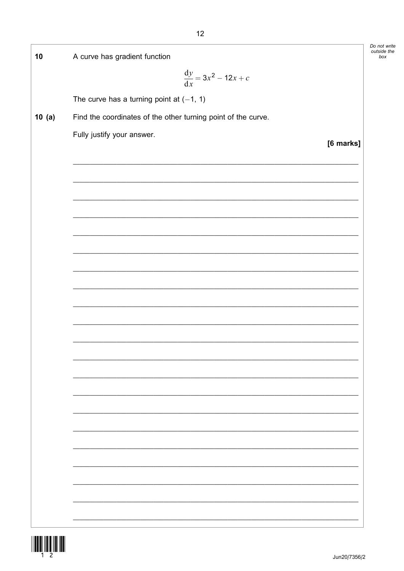| 10    | A curve has gradient function                                 |           | Do not write<br>outside the<br>box |
|-------|---------------------------------------------------------------|-----------|------------------------------------|
|       |                                                               |           |                                    |
|       | $\frac{dy}{dx} = 3x^2 - 12x + c$                              |           |                                    |
|       | The curve has a turning point at $(-1, 1)$                    |           |                                    |
| 10(a) | Find the coordinates of the other turning point of the curve. |           |                                    |
|       | Fully justify your answer.                                    |           |                                    |
|       |                                                               | [6 marks] |                                    |
|       |                                                               |           |                                    |
|       |                                                               |           |                                    |
|       |                                                               |           |                                    |
|       |                                                               |           |                                    |
|       |                                                               |           |                                    |
|       |                                                               |           |                                    |
|       |                                                               |           |                                    |
|       |                                                               |           |                                    |
|       |                                                               |           |                                    |
|       |                                                               |           |                                    |
|       |                                                               |           |                                    |
|       |                                                               |           |                                    |
|       |                                                               |           |                                    |
|       |                                                               |           |                                    |
|       |                                                               |           |                                    |
|       |                                                               |           |                                    |
|       |                                                               |           |                                    |
|       |                                                               |           |                                    |
|       |                                                               |           |                                    |
|       |                                                               |           |                                    |
|       |                                                               |           |                                    |
|       |                                                               |           |                                    |
|       |                                                               |           |                                    |
|       |                                                               |           |                                    |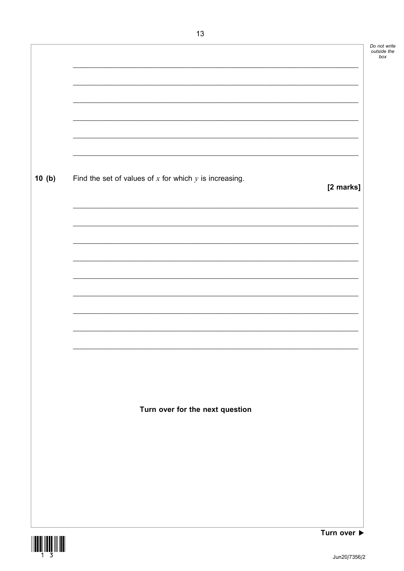| 10(b) | Find the set of values of $x$ for which $y$ is increasing.<br>[2 marks] |
|-------|-------------------------------------------------------------------------|
|       |                                                                         |
|       |                                                                         |
|       |                                                                         |
|       |                                                                         |
|       |                                                                         |
|       |                                                                         |
|       |                                                                         |
|       |                                                                         |
|       |                                                                         |
|       |                                                                         |
|       | Turn over for the next question                                         |
|       |                                                                         |
|       |                                                                         |
|       |                                                                         |
|       |                                                                         |
|       |                                                                         |

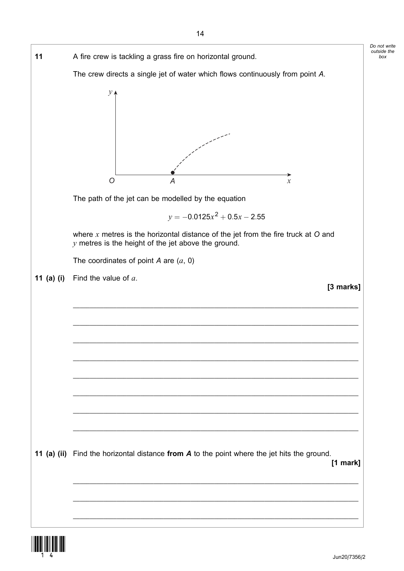

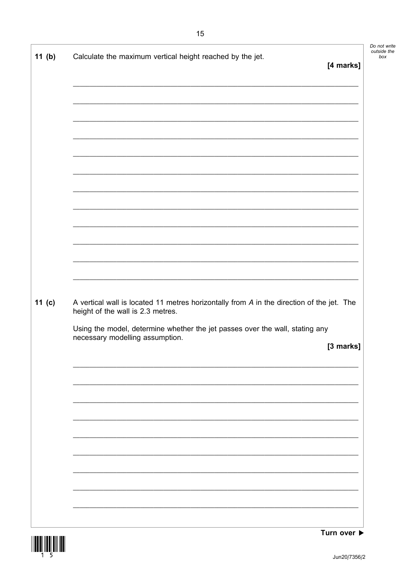| 11 $(b)$ | Calculate the maximum vertical height reached by the jet.<br>[4 marks]                                                                                                                                                                                         |
|----------|----------------------------------------------------------------------------------------------------------------------------------------------------------------------------------------------------------------------------------------------------------------|
|          |                                                                                                                                                                                                                                                                |
|          | <u> 1989 - Johann Barn, amerikan berkemaan berkemaan pertama di sebagai pertama di sebagai pertama di sebagai pe</u>                                                                                                                                           |
| 11 $(c)$ | A vertical wall is located 11 metres horizontally from A in the direction of the jet. The<br>height of the wall is 2.3 metres.<br>Using the model, determine whether the jet passes over the wall, stating any<br>necessary modelling assumption.<br>[3 marks] |
|          |                                                                                                                                                                                                                                                                |



Turn over  $\blacktriangleright$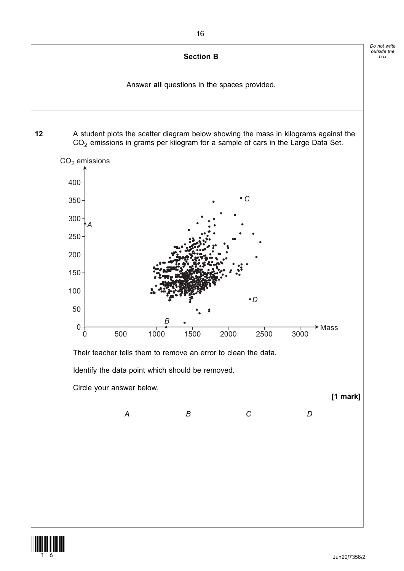

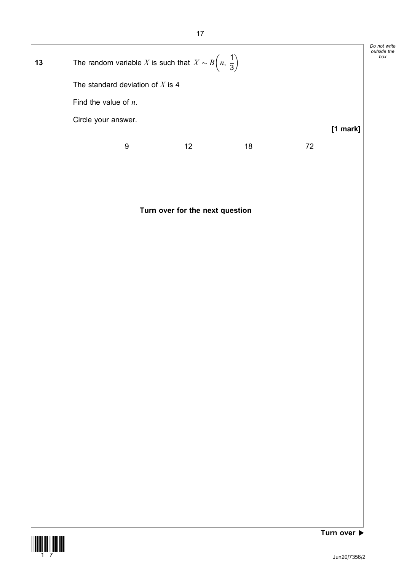| 13 |                         | The random variable X is such that $X \sim B\left(n, \frac{1}{3}\right)$ |    |    |    |            | Do not write<br>outside the<br>box |
|----|-------------------------|--------------------------------------------------------------------------|----|----|----|------------|------------------------------------|
|    |                         | The standard deviation of X is 4                                         |    |    |    |            |                                    |
|    | Find the value of $n$ . |                                                                          |    |    |    |            |                                    |
|    | Circle your answer.     |                                                                          |    |    |    | $[1$ mark] |                                    |
|    |                         | 9                                                                        | 12 | 18 | 72 |            |                                    |

# Turn over for the next question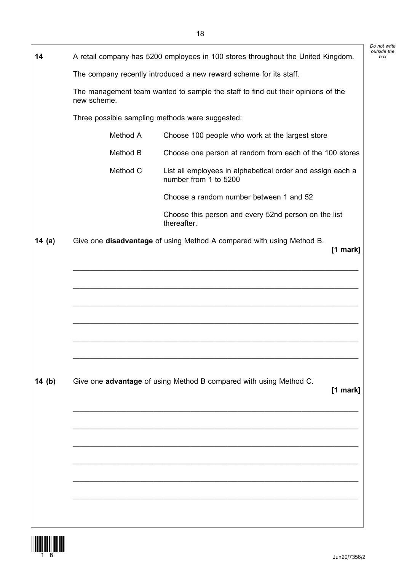| 14       |             | A retail company has 5200 employees in 100 stores throughout the United Kingdom.    |
|----------|-------------|-------------------------------------------------------------------------------------|
|          |             | The company recently introduced a new reward scheme for its staff.                  |
|          | new scheme. | The management team wanted to sample the staff to find out their opinions of the    |
|          |             | Three possible sampling methods were suggested:                                     |
|          | Method A    | Choose 100 people who work at the largest store                                     |
|          | Method B    | Choose one person at random from each of the 100 stores                             |
|          | Method C    | List all employees in alphabetical order and assign each a<br>number from 1 to 5200 |
|          |             | Choose a random number between 1 and 52                                             |
|          |             | Choose this person and every 52nd person on the list<br>thereafter.                 |
| 14 $(a)$ |             | Give one disadvantage of using Method A compared with using Method B.<br>$[1$ mark] |
|          |             |                                                                                     |
|          |             |                                                                                     |
|          |             |                                                                                     |
|          |             |                                                                                     |
|          |             |                                                                                     |
|          |             |                                                                                     |
|          |             |                                                                                     |
|          |             |                                                                                     |
| 14 $(b)$ |             | Give one advantage of using Method B compared with using Method C.<br>[1 mark]      |
|          |             |                                                                                     |
|          |             |                                                                                     |
|          |             |                                                                                     |
|          |             |                                                                                     |
|          |             |                                                                                     |
|          |             |                                                                                     |
|          |             |                                                                                     |
|          |             |                                                                                     |

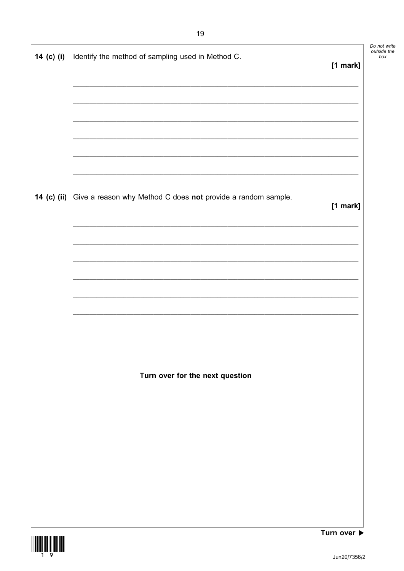| 14 (c) (i) Identify the method of sampling used in Method C.             | $[1$ mark] |
|--------------------------------------------------------------------------|------------|
|                                                                          |            |
|                                                                          |            |
|                                                                          |            |
| 14 (c) (ii) Give a reason why Method C does not provide a random sample. | $[1$ mark] |
|                                                                          |            |
|                                                                          |            |
|                                                                          |            |
|                                                                          |            |
| Turn over for the next question                                          |            |
|                                                                          |            |
|                                                                          |            |
|                                                                          |            |
|                                                                          |            |
|                                                                          |            |



j.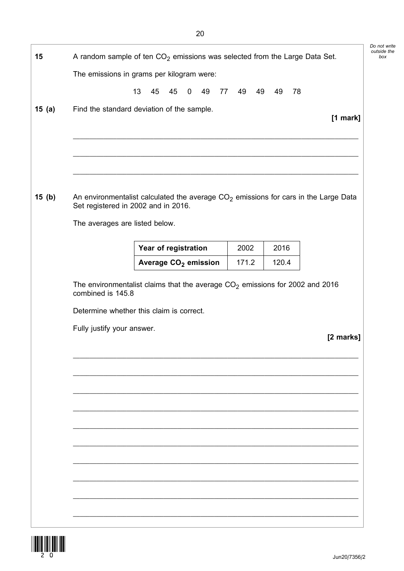| 15       |                                     | A random sample of ten $CO2$ emissions was selected from the Large Data Set.          |          |          |            |
|----------|-------------------------------------|---------------------------------------------------------------------------------------|----------|----------|------------|
|          |                                     | The emissions in grams per kilogram were:                                             |          |          |            |
|          |                                     | 13<br>45<br>45<br>$\mathbf 0$<br>49<br>77                                             | 49<br>49 | 78<br>49 |            |
|          |                                     |                                                                                       |          |          |            |
| 15 $(a)$ |                                     | Find the standard deviation of the sample.                                            |          |          | $[1$ mark] |
|          |                                     |                                                                                       |          |          |            |
|          |                                     |                                                                                       |          |          |            |
|          |                                     |                                                                                       |          |          |            |
|          |                                     |                                                                                       |          |          |            |
| 15(b)    | Set registered in 2002 and in 2016. | An environmentalist calculated the average $CO2$ emissions for cars in the Large Data |          |          |            |
|          | The averages are listed below.      |                                                                                       |          |          |            |
|          |                                     | Year of registration                                                                  | 2002     | 2016     |            |
|          |                                     | Average CO <sub>2</sub> emission                                                      | 171.2    | 120.4    |            |
|          | combined is 145.8                   | The environmentalist claims that the average $CO2$ emissions for 2002 and 2016        |          |          |            |
|          |                                     | Determine whether this claim is correct.                                              |          |          |            |
|          | Fully justify your answer.          |                                                                                       |          |          |            |
|          |                                     |                                                                                       |          |          | [2 marks]  |
|          |                                     |                                                                                       |          |          |            |
|          |                                     |                                                                                       |          |          |            |
|          |                                     |                                                                                       |          |          |            |
|          |                                     |                                                                                       |          |          |            |
|          |                                     |                                                                                       |          |          |            |
|          |                                     |                                                                                       |          |          |            |
|          |                                     |                                                                                       |          |          |            |
|          |                                     |                                                                                       |          |          |            |
|          |                                     |                                                                                       |          |          |            |
|          |                                     |                                                                                       |          |          |            |
|          |                                     |                                                                                       |          |          |            |

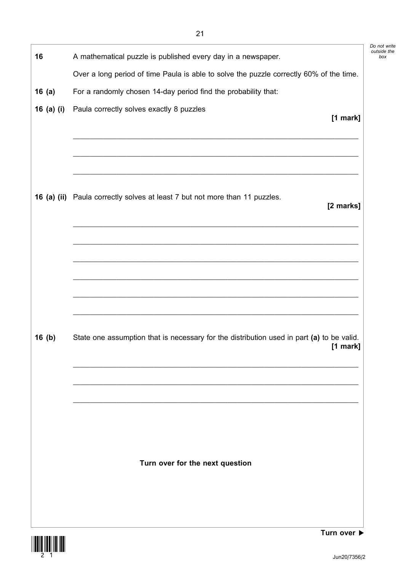| 16         | A mathematical puzzle is published every day in a newspaper.                              |
|------------|-------------------------------------------------------------------------------------------|
|            | Over a long period of time Paula is able to solve the puzzle correctly 60% of the time.   |
| 16(a)      | For a randomly chosen 14-day period find the probability that:                            |
| 16 (a) (i) | Paula correctly solves exactly 8 puzzles<br>[1 mark]                                      |
|            |                                                                                           |
|            |                                                                                           |
|            |                                                                                           |
|            |                                                                                           |
|            | 16 (a) (ii) Paula correctly solves at least 7 but not more than 11 puzzles.               |
|            | [2 marks]                                                                                 |
|            |                                                                                           |
|            |                                                                                           |
|            |                                                                                           |
|            |                                                                                           |
|            |                                                                                           |
|            |                                                                                           |
| 16(b)      | State one assumption that is necessary for the distribution used in part (a) to be valid. |
|            | $[1$ mark]                                                                                |
|            |                                                                                           |
|            |                                                                                           |
|            |                                                                                           |
|            |                                                                                           |
|            |                                                                                           |
|            |                                                                                           |
|            |                                                                                           |
|            | Turn over for the next question                                                           |
|            |                                                                                           |
|            |                                                                                           |



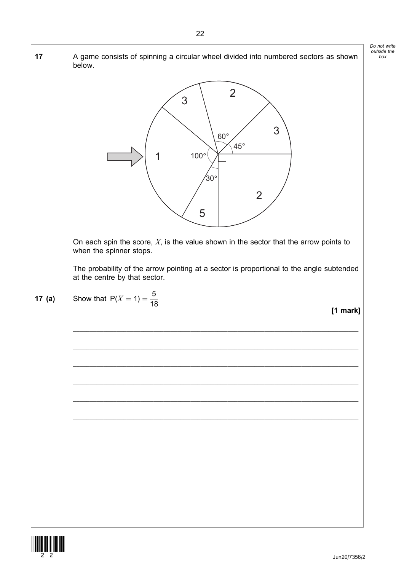

<u>||IIIII ||IIII</u> ||II|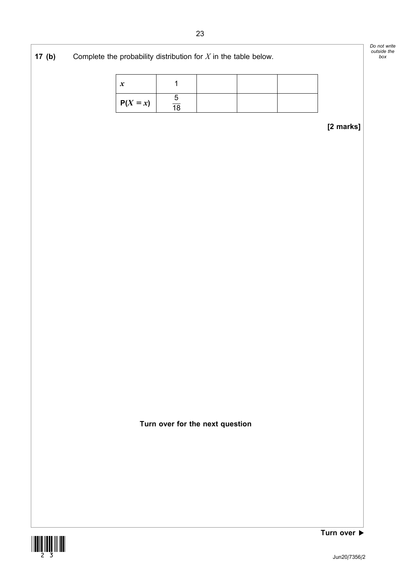| 17(b) | Complete the probability distribution for $X$ in the table below. |                  |                |                                 |  |           | Do not write<br>outside the<br>box |
|-------|-------------------------------------------------------------------|------------------|----------------|---------------------------------|--|-----------|------------------------------------|
|       |                                                                   | $\boldsymbol{x}$ | 1              |                                 |  |           |                                    |
|       |                                                                   | $P(X = x)$       | $\frac{5}{18}$ |                                 |  |           |                                    |
|       |                                                                   |                  |                |                                 |  | [2 marks] |                                    |
|       |                                                                   |                  |                |                                 |  |           |                                    |
|       |                                                                   |                  |                |                                 |  |           |                                    |
|       |                                                                   |                  |                |                                 |  |           |                                    |
|       |                                                                   |                  |                |                                 |  |           |                                    |
|       |                                                                   |                  |                |                                 |  |           |                                    |
|       |                                                                   |                  |                |                                 |  |           |                                    |
|       |                                                                   |                  |                |                                 |  |           |                                    |
|       |                                                                   |                  |                |                                 |  |           |                                    |
|       |                                                                   |                  |                |                                 |  |           |                                    |
|       |                                                                   |                  |                |                                 |  |           |                                    |
|       |                                                                   |                  |                |                                 |  |           |                                    |
|       |                                                                   |                  |                | Turn over for the next question |  |           |                                    |



Turn over  $\blacktriangleright$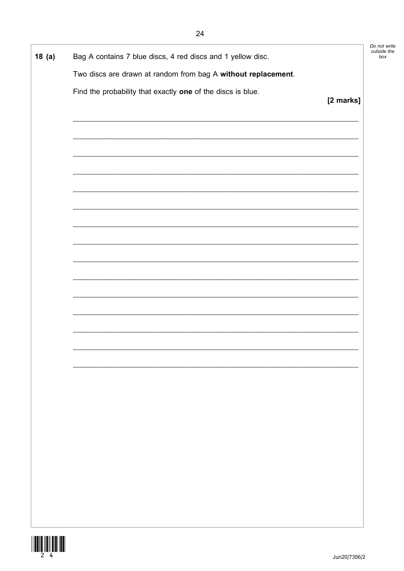| Do not write |
|--------------|
| outside the  |
| box          |

| 18(a) | Bag A contains 7 blue discs, 4 red discs and 1 yellow disc.                                                           |           |
|-------|-----------------------------------------------------------------------------------------------------------------------|-----------|
|       | Two discs are drawn at random from bag A without replacement.                                                         |           |
|       | Find the probability that exactly one of the discs is blue.                                                           | [2 marks] |
|       |                                                                                                                       |           |
|       |                                                                                                                       |           |
|       | <u> 1989 - Johann Stoff, deutscher Stoff, der Stoff, der Stoff, der Stoff, der Stoff, der Stoff, der Stoff, der S</u> |           |
|       |                                                                                                                       |           |
|       |                                                                                                                       |           |
|       |                                                                                                                       |           |
|       |                                                                                                                       |           |
|       |                                                                                                                       |           |
|       |                                                                                                                       |           |
|       |                                                                                                                       |           |
|       |                                                                                                                       |           |
|       |                                                                                                                       |           |
|       |                                                                                                                       |           |
|       |                                                                                                                       |           |

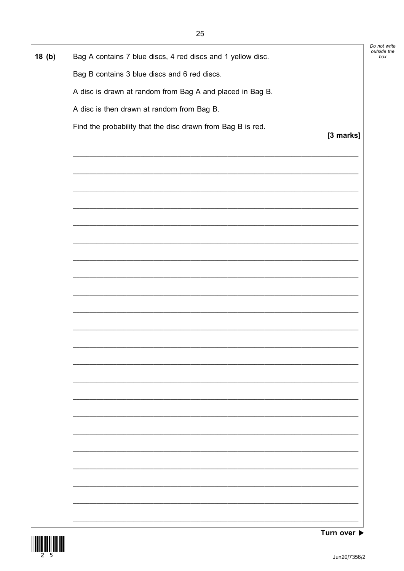| Do not write |
|--------------|
| outside the  |
| box          |

٦

| 18(b) | Bag A contains 7 blue discs, 4 red discs and 1 yellow disc. |           |
|-------|-------------------------------------------------------------|-----------|
|       | Bag B contains 3 blue discs and 6 red discs.                |           |
|       | A disc is drawn at random from Bag A and placed in Bag B.   |           |
|       | A disc is then drawn at random from Bag B.                  |           |
|       | Find the probability that the disc drawn from Bag B is red. | [3 marks] |
|       |                                                             |           |
|       | <u> 1989 - Johann Stoff, amerikansk politiker (d. 1989)</u> |           |
|       |                                                             |           |
|       | <u> 1989 - Johann Stoff, amerikansk politiker (d. 1989)</u> |           |
|       |                                                             |           |
|       |                                                             |           |
|       |                                                             |           |
|       |                                                             |           |
|       |                                                             |           |
|       |                                                             |           |
|       |                                                             |           |
|       |                                                             |           |
|       |                                                             |           |
|       |                                                             |           |

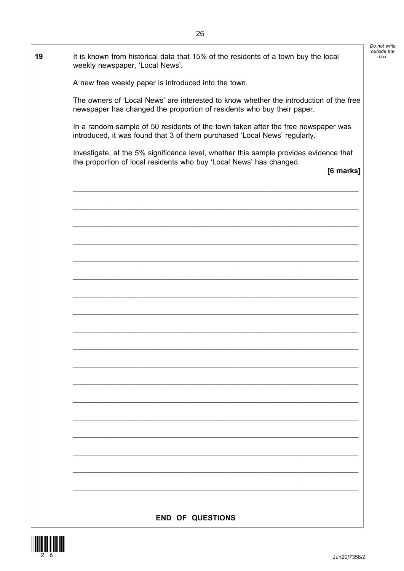|                                                                                                                                                                           | Do not write       |
|---------------------------------------------------------------------------------------------------------------------------------------------------------------------------|--------------------|
| It is known from historical data that 15% of the residents of a town buy the local<br>weekly newspaper, 'Local News'.                                                     | outside the<br>box |
| A new free weekly paper is introduced into the town.                                                                                                                      |                    |
| The owners of 'Local News' are interested to know whether the introduction of the free<br>newspaper has changed the proportion of residents who buy their paper.          |                    |
| In a random sample of 50 residents of the town taken after the free newspaper was<br>introduced, it was found that 3 of them purchased 'Local News' regularly.            |                    |
| Investigate, at the 5% significance level, whether this sample provides evidence that<br>the proportion of local residents who buy 'Local News' has changed.<br>[6 marks] |                    |
|                                                                                                                                                                           |                    |
|                                                                                                                                                                           |                    |
|                                                                                                                                                                           |                    |
|                                                                                                                                                                           |                    |
|                                                                                                                                                                           |                    |
|                                                                                                                                                                           |                    |
|                                                                                                                                                                           |                    |
|                                                                                                                                                                           |                    |
|                                                                                                                                                                           |                    |
|                                                                                                                                                                           |                    |
|                                                                                                                                                                           |                    |
|                                                                                                                                                                           |                    |
|                                                                                                                                                                           |                    |
|                                                                                                                                                                           |                    |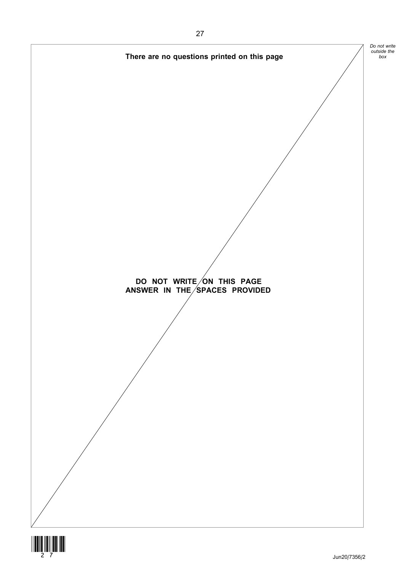

 $\begin{array}{c} \begin{array}{c} \begin{array}{c} \end{array} \\ \begin{array}{c} \end{array} \\ \begin{array}{c} \end{array} \\ \begin{array}{c} \end{array} \\ \begin{array}{c} \end{array} \end{array} \end{array}$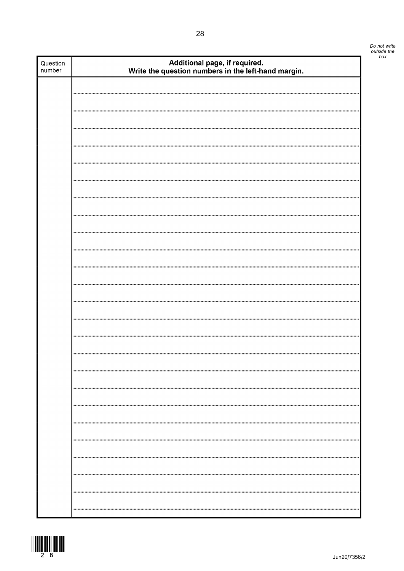| Question<br>number | Additional page, if required.<br>Write the question numbers in the left-hand margin. |
|--------------------|--------------------------------------------------------------------------------------|
|                    |                                                                                      |
|                    |                                                                                      |
|                    |                                                                                      |
|                    |                                                                                      |
|                    |                                                                                      |
|                    |                                                                                      |
|                    |                                                                                      |
|                    |                                                                                      |
|                    |                                                                                      |
|                    |                                                                                      |
|                    |                                                                                      |
|                    |                                                                                      |
|                    |                                                                                      |
|                    |                                                                                      |
|                    |                                                                                      |
|                    |                                                                                      |
|                    |                                                                                      |
|                    |                                                                                      |
|                    |                                                                                      |
|                    |                                                                                      |
|                    |                                                                                      |
|                    |                                                                                      |
|                    |                                                                                      |
|                    |                                                                                      |
|                    |                                                                                      |
|                    |                                                                                      |
|                    |                                                                                      |
|                    |                                                                                      |
|                    |                                                                                      |
|                    |                                                                                      |
|                    |                                                                                      |
|                    |                                                                                      |
|                    |                                                                                      |
|                    |                                                                                      |

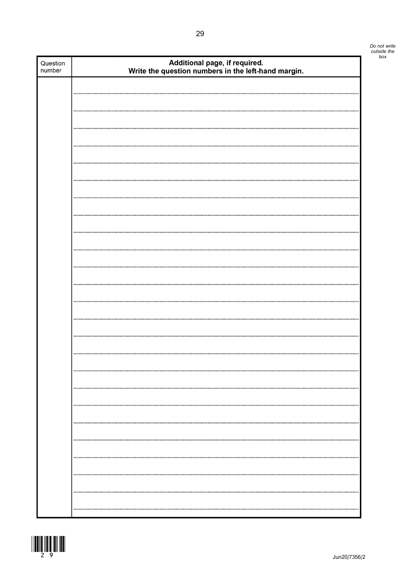| Question<br>number | Additional page, if required.<br>Write the question numbers in the left-hand margin. |
|--------------------|--------------------------------------------------------------------------------------|
|                    |                                                                                      |
|                    |                                                                                      |
|                    |                                                                                      |
|                    |                                                                                      |
|                    |                                                                                      |
|                    |                                                                                      |
|                    |                                                                                      |
|                    |                                                                                      |
|                    |                                                                                      |
|                    |                                                                                      |
|                    |                                                                                      |
|                    |                                                                                      |
|                    |                                                                                      |
|                    |                                                                                      |
|                    |                                                                                      |
|                    |                                                                                      |
|                    |                                                                                      |
|                    |                                                                                      |
|                    |                                                                                      |
|                    |                                                                                      |
|                    |                                                                                      |
|                    |                                                                                      |
|                    |                                                                                      |
|                    |                                                                                      |
|                    |                                                                                      |
|                    |                                                                                      |
|                    |                                                                                      |
|                    |                                                                                      |
|                    |                                                                                      |
|                    |                                                                                      |
|                    |                                                                                      |
|                    |                                                                                      |
|                    |                                                                                      |
|                    |                                                                                      |
|                    |                                                                                      |
|                    |                                                                                      |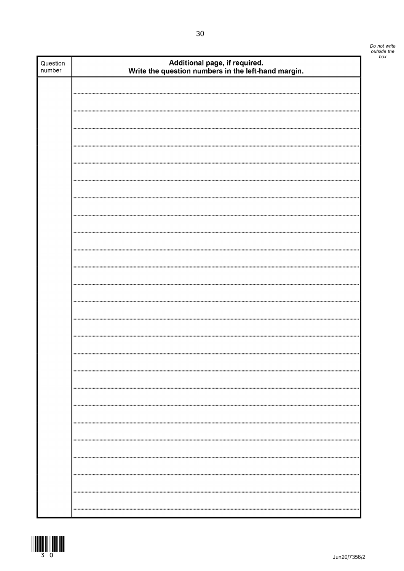| Question<br>number | Additional page, if required.<br>Write the question numbers in the left-hand margin. |
|--------------------|--------------------------------------------------------------------------------------|
|                    |                                                                                      |
|                    |                                                                                      |
|                    |                                                                                      |
|                    |                                                                                      |
|                    |                                                                                      |
|                    |                                                                                      |
|                    |                                                                                      |
|                    |                                                                                      |
|                    |                                                                                      |
|                    |                                                                                      |
|                    |                                                                                      |
|                    |                                                                                      |
|                    |                                                                                      |
|                    |                                                                                      |
|                    |                                                                                      |
|                    |                                                                                      |
|                    |                                                                                      |
|                    |                                                                                      |
|                    |                                                                                      |
|                    |                                                                                      |
|                    |                                                                                      |
|                    |                                                                                      |
|                    |                                                                                      |
|                    |                                                                                      |
|                    |                                                                                      |
|                    |                                                                                      |
|                    |                                                                                      |
|                    |                                                                                      |
|                    |                                                                                      |

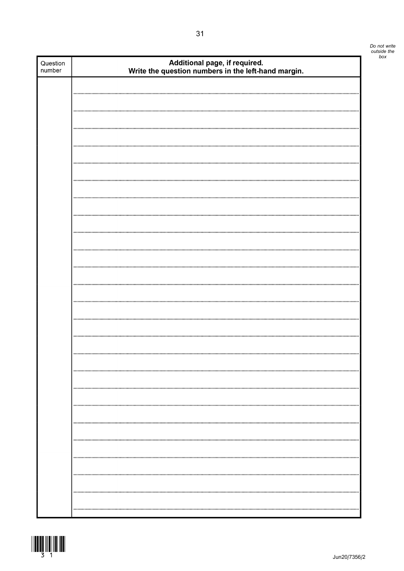| Question<br>number | Additional page, if required.<br>Write the question numbers in the left-hand margin. |
|--------------------|--------------------------------------------------------------------------------------|
|                    |                                                                                      |
|                    |                                                                                      |
|                    |                                                                                      |
|                    |                                                                                      |
|                    |                                                                                      |
|                    |                                                                                      |
|                    |                                                                                      |
|                    |                                                                                      |
|                    |                                                                                      |
|                    |                                                                                      |
|                    |                                                                                      |
|                    |                                                                                      |
|                    |                                                                                      |
|                    |                                                                                      |
|                    |                                                                                      |
|                    |                                                                                      |
|                    |                                                                                      |
|                    |                                                                                      |
|                    |                                                                                      |
|                    |                                                                                      |
|                    |                                                                                      |
|                    |                                                                                      |
|                    |                                                                                      |
|                    |                                                                                      |
|                    |                                                                                      |
|                    |                                                                                      |
|                    |                                                                                      |
|                    |                                                                                      |
|                    |                                                                                      |